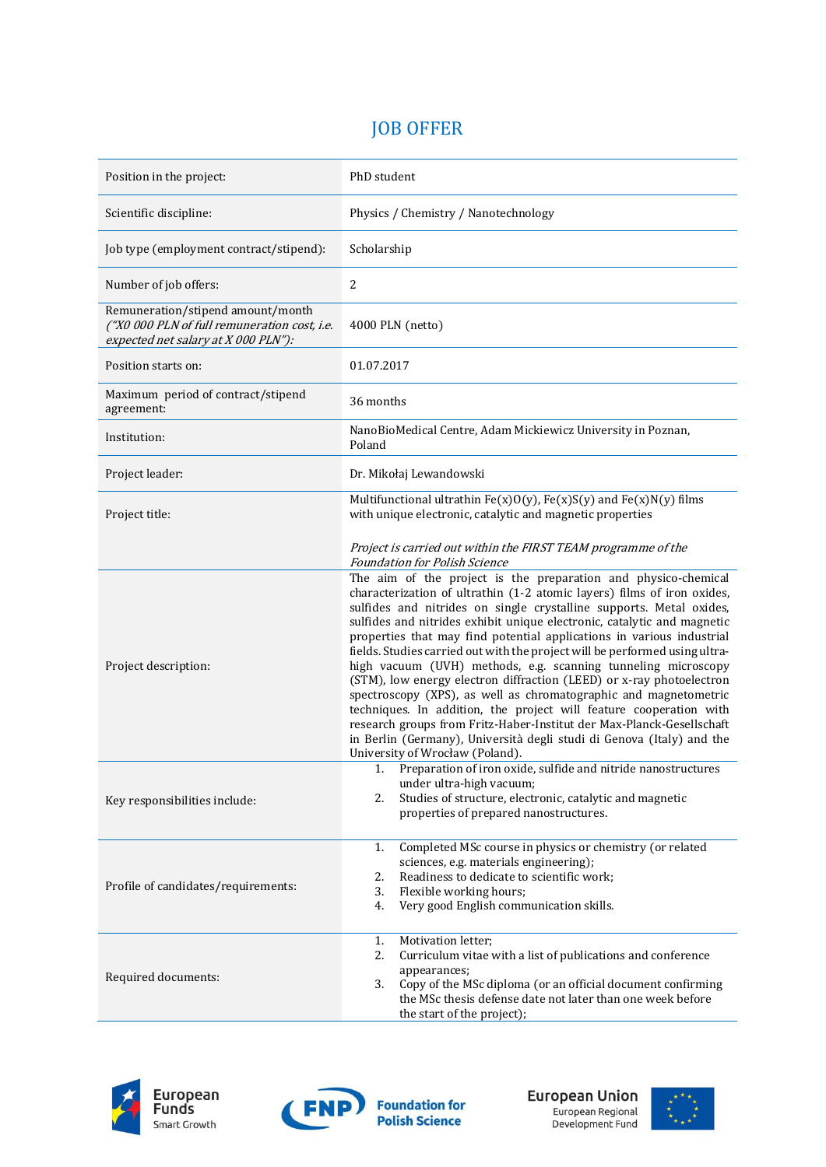## JOB OFFER

| Position in the project:                                                                                                 | PhD student                                                                                                                                                                                                                                                                                                                                                                                                                                                                                                                                                                                                                                                                                                                                                                                                                                                                                                                                                                                                                                                                                              |
|--------------------------------------------------------------------------------------------------------------------------|----------------------------------------------------------------------------------------------------------------------------------------------------------------------------------------------------------------------------------------------------------------------------------------------------------------------------------------------------------------------------------------------------------------------------------------------------------------------------------------------------------------------------------------------------------------------------------------------------------------------------------------------------------------------------------------------------------------------------------------------------------------------------------------------------------------------------------------------------------------------------------------------------------------------------------------------------------------------------------------------------------------------------------------------------------------------------------------------------------|
| Scientific discipline:                                                                                                   | Physics / Chemistry / Nanotechnology                                                                                                                                                                                                                                                                                                                                                                                                                                                                                                                                                                                                                                                                                                                                                                                                                                                                                                                                                                                                                                                                     |
| Job type (employment contract/stipend):                                                                                  | Scholarship                                                                                                                                                                                                                                                                                                                                                                                                                                                                                                                                                                                                                                                                                                                                                                                                                                                                                                                                                                                                                                                                                              |
| Number of job offers:                                                                                                    | $\overline{2}$                                                                                                                                                                                                                                                                                                                                                                                                                                                                                                                                                                                                                                                                                                                                                                                                                                                                                                                                                                                                                                                                                           |
| Remuneration/stipend amount/month<br>("X0 000 PLN of full remuneration cost, i.e.<br>expected net salary at X 000 PLN"): | 4000 PLN (netto)                                                                                                                                                                                                                                                                                                                                                                                                                                                                                                                                                                                                                                                                                                                                                                                                                                                                                                                                                                                                                                                                                         |
| Position starts on:                                                                                                      | 01.07.2017                                                                                                                                                                                                                                                                                                                                                                                                                                                                                                                                                                                                                                                                                                                                                                                                                                                                                                                                                                                                                                                                                               |
| Maximum period of contract/stipend<br>agreement:                                                                         | 36 months                                                                                                                                                                                                                                                                                                                                                                                                                                                                                                                                                                                                                                                                                                                                                                                                                                                                                                                                                                                                                                                                                                |
| Institution:                                                                                                             | NanoBioMedical Centre, Adam Mickiewicz University in Poznan,<br>Poland                                                                                                                                                                                                                                                                                                                                                                                                                                                                                                                                                                                                                                                                                                                                                                                                                                                                                                                                                                                                                                   |
| Project leader:                                                                                                          | Dr. Mikołaj Lewandowski                                                                                                                                                                                                                                                                                                                                                                                                                                                                                                                                                                                                                                                                                                                                                                                                                                                                                                                                                                                                                                                                                  |
| Project title:                                                                                                           | Multifunctional ultrathin $Fe(x)O(y)$ , $Fe(x)S(y)$ and $Fe(x)N(y)$ films<br>with unique electronic, catalytic and magnetic properties                                                                                                                                                                                                                                                                                                                                                                                                                                                                                                                                                                                                                                                                                                                                                                                                                                                                                                                                                                   |
| Project description:                                                                                                     | Project is carried out within the FIRST TEAM programme of the<br><b>Foundation for Polish Science</b><br>The aim of the project is the preparation and physico-chemical<br>characterization of ultrathin (1-2 atomic layers) films of iron oxides,<br>sulfides and nitrides on single crystalline supports. Metal oxides,<br>sulfides and nitrides exhibit unique electronic, catalytic and magnetic<br>properties that may find potential applications in various industrial<br>fields. Studies carried out with the project will be performed using ultra-<br>high vacuum (UVH) methods, e.g. scanning tunneling microscopy<br>(STM), low energy electron diffraction (LEED) or x-ray photoelectron<br>spectroscopy (XPS), as well as chromatographic and magnetometric<br>techniques. In addition, the project will feature cooperation with<br>research groups from Fritz-Haber-Institut der Max-Planck-Gesellschaft<br>in Berlin (Germany), Università degli studi di Genova (Italy) and the<br>University of Wrocław (Poland).<br>1. Preparation of iron oxide, sulfide and nitride nanostructures |
| Key responsibilities include:                                                                                            | under ultra-high vacuum;<br>2.<br>Studies of structure, electronic, catalytic and magnetic<br>properties of prepared nanostructures.                                                                                                                                                                                                                                                                                                                                                                                                                                                                                                                                                                                                                                                                                                                                                                                                                                                                                                                                                                     |
| Profile of candidates/requirements:                                                                                      | Completed MSc course in physics or chemistry (or related<br>1.<br>sciences, e.g. materials engineering);<br>Readiness to dedicate to scientific work;<br>2.<br>3.<br>Flexible working hours;<br>Very good English communication skills.<br>4.                                                                                                                                                                                                                                                                                                                                                                                                                                                                                                                                                                                                                                                                                                                                                                                                                                                            |
| Required documents:                                                                                                      | 1.<br>Motivation letter;<br>2.<br>Curriculum vitae with a list of publications and conference<br>appearances;<br>Copy of the MSc diploma (or an official document confirming<br>3.<br>the MSc thesis defense date not later than one week before<br>the start of the project);                                                                                                                                                                                                                                                                                                                                                                                                                                                                                                                                                                                                                                                                                                                                                                                                                           |





European Union European Regional<br>Development Fund